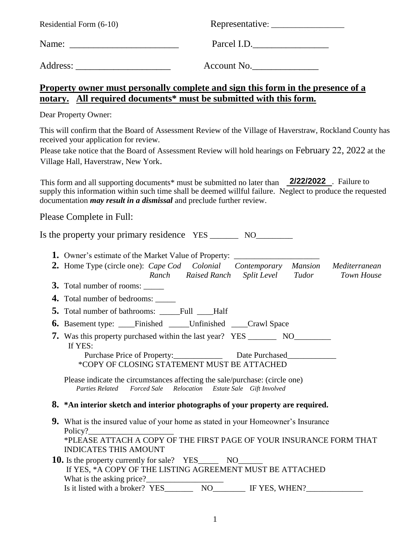| Residential Form (6-10)                                                                                                                                                                                                 |                                                                                                                                                                                                                  |
|-------------------------------------------------------------------------------------------------------------------------------------------------------------------------------------------------------------------------|------------------------------------------------------------------------------------------------------------------------------------------------------------------------------------------------------------------|
|                                                                                                                                                                                                                         | Parcel I.D.                                                                                                                                                                                                      |
|                                                                                                                                                                                                                         | Account No.                                                                                                                                                                                                      |
| notary. All required documents* must be submitted with this form.                                                                                                                                                       | <u>Property owner must personally complete and sign this form in the presence of a</u>                                                                                                                           |
| Dear Property Owner:                                                                                                                                                                                                    |                                                                                                                                                                                                                  |
| received your application for review.<br>Village Hall, Haverstraw, New York.                                                                                                                                            | This will confirm that the Board of Assessment Review of the Village of Haverstraw, Rockland County has<br>Please take notice that the Board of Assessment Review will hold hearings on February 22, 2022 at the |
| documentation <i>may result in a dismissal</i> and preclude further review.                                                                                                                                             | This form and all supporting documents* must be submitted no later than 2/22/2022. Failure to<br>supply this information within such time shall be deemed willful failure. Neglect to produce the requested      |
| Please Complete in Full:                                                                                                                                                                                                |                                                                                                                                                                                                                  |
| Is the property your primary residence YES __________ NO_________                                                                                                                                                       |                                                                                                                                                                                                                  |
| 1. Owner's estimate of the Market Value of Property: ___________________________<br>3. Total number of rooms:                                                                                                           | 2. Home Type (circle one): Cape Cod Colonial Contemporary Mansion Mediterranean<br>Ranch Raised Ranch Split Level Tudor<br>Town House                                                                            |
| 4. Total number of bedrooms: _____                                                                                                                                                                                      |                                                                                                                                                                                                                  |
| <b>5.</b> Total number of bathrooms: _____Full ____Half                                                                                                                                                                 |                                                                                                                                                                                                                  |
| <b>6.</b> Basement type: _____Finished ______Unfinished _____Crawl Space<br>7. Was this property purchased within the last year? YES ________________________<br>If YES:<br>*COPY OF CLOSING STATEMENT MUST BE ATTACHED | Purchase Price of Property: Date Purchased                                                                                                                                                                       |
| Please indicate the circumstances affecting the sale/purchase: (circle one)<br><b>Parties Related</b><br><b>Forced Sale</b>                                                                                             | Relocation Estate Sale Gift Involved                                                                                                                                                                             |
| 8. *An interior sketch and interior photographs of your property are required.                                                                                                                                          |                                                                                                                                                                                                                  |
| <b>9.</b> What is the insured value of your home as stated in your Homeowner's Insurance                                                                                                                                |                                                                                                                                                                                                                  |

- Policy?\_ \*PLEASE ATTACH A COPY OF THE FIRST PAGE OF YOUR INSURANCE FORM THAT INDICATES THIS AMOUNT **10.** Is the property currently for sale? YES\_\_\_\_\_\_ NO\_\_\_\_\_\_\_
- If YES, \*A COPY OF THE LISTING AGREEMENT MUST BE ATTACHED What is the asking price?<br>Is it listed with a broker? YES Is it listed with a broker? YES\_\_\_\_\_\_\_ NO\_\_\_\_\_\_\_\_ IF YES, WHEN?\_\_\_\_\_\_\_\_\_\_\_\_\_\_